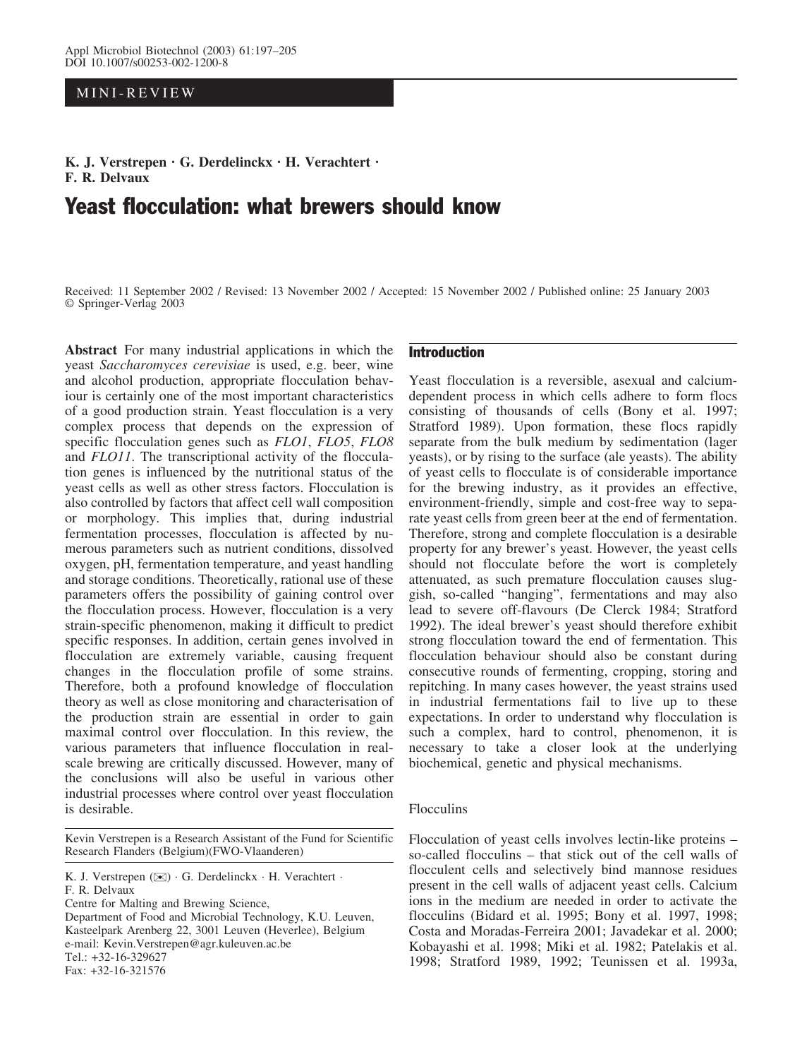# MINI-REVIEW

K. J. Verstrepen · G. Derdelinckx · H. Verachtert · F. R. Delvaux

# Yeast flocculation: what brewers should know

Received: 11 September 2002 / Revised: 13 November 2002 / Accepted: 15 November 2002 / Published online: 25 January 2003 Springer-Verlag 2003

Abstract For many industrial applications in which the yeast Saccharomyces cerevisiae is used, e.g. beer, wine and alcohol production, appropriate flocculation behaviour is certainly one of the most important characteristics of a good production strain. Yeast flocculation is a very complex process that depends on the expression of specific flocculation genes such as FLO1, FLO5, FLO8 and FLO11. The transcriptional activity of the flocculation genes is influenced by the nutritional status of the yeast cells as well as other stress factors. Flocculation is also controlled by factors that affect cell wall composition or morphology. This implies that, during industrial fermentation processes, flocculation is affected by numerous parameters such as nutrient conditions, dissolved oxygen, pH, fermentation temperature, and yeast handling and storage conditions. Theoretically, rational use of these parameters offers the possibility of gaining control over the flocculation process. However, flocculation is a very strain-specific phenomenon, making it difficult to predict specific responses. In addition, certain genes involved in flocculation are extremely variable, causing frequent changes in the flocculation profile of some strains. Therefore, both a profound knowledge of flocculation theory as well as close monitoring and characterisation of the production strain are essential in order to gain maximal control over flocculation. In this review, the various parameters that influence flocculation in realscale brewing are critically discussed. However, many of the conclusions will also be useful in various other industrial processes where control over yeast flocculation is desirable.

Kevin Verstrepen is a Research Assistant of the Fund for Scientific Research Flanders (Belgium)(FWO-Vlaanderen)

K. J. Verstrepen ( $\boxtimes$ ) · G. Derdelinckx · H. Verachtert · F. R. Delvaux

Centre for Malting and Brewing Science,

Department of Food and Microbial Technology, K.U. Leuven, Kasteelpark Arenberg 22, 3001 Leuven (Heverlee), Belgium e-mail: Kevin.Verstrepen@agr.kuleuven.ac.be Tel.: +32-16-329627 Fax: +32-16-321576

# Introduction

Yeast flocculation is a reversible, asexual and calciumdependent process in which cells adhere to form flocs consisting of thousands of cells (Bony et al. 1997; Stratford 1989). Upon formation, these flocs rapidly separate from the bulk medium by sedimentation (lager yeasts), or by rising to the surface (ale yeasts). The ability of yeast cells to flocculate is of considerable importance for the brewing industry, as it provides an effective, environment-friendly, simple and cost-free way to separate yeast cells from green beer at the end of fermentation. Therefore, strong and complete flocculation is a desirable property for any brewer's yeast. However, the yeast cells should not flocculate before the wort is completely attenuated, as such premature flocculation causes sluggish, so-called "hanging", fermentations and may also lead to severe off-flavours (De Clerck 1984; Stratford 1992). The ideal brewer's yeast should therefore exhibit strong flocculation toward the end of fermentation. This flocculation behaviour should also be constant during consecutive rounds of fermenting, cropping, storing and repitching. In many cases however, the yeast strains used in industrial fermentations fail to live up to these expectations. In order to understand why flocculation is such a complex, hard to control, phenomenon, it is necessary to take a closer look at the underlying biochemical, genetic and physical mechanisms.

#### Flocculins

Flocculation of yeast cells involves lectin-like proteins – so-called flocculins – that stick out of the cell walls of flocculent cells and selectively bind mannose residues present in the cell walls of adjacent yeast cells. Calcium ions in the medium are needed in order to activate the flocculins (Bidard et al. 1995; Bony et al. 1997, 1998; Costa and Moradas-Ferreira 2001; Javadekar et al. 2000; Kobayashi et al. 1998; Miki et al. 1982; Patelakis et al. 1998; Stratford 1989, 1992; Teunissen et al. 1993a,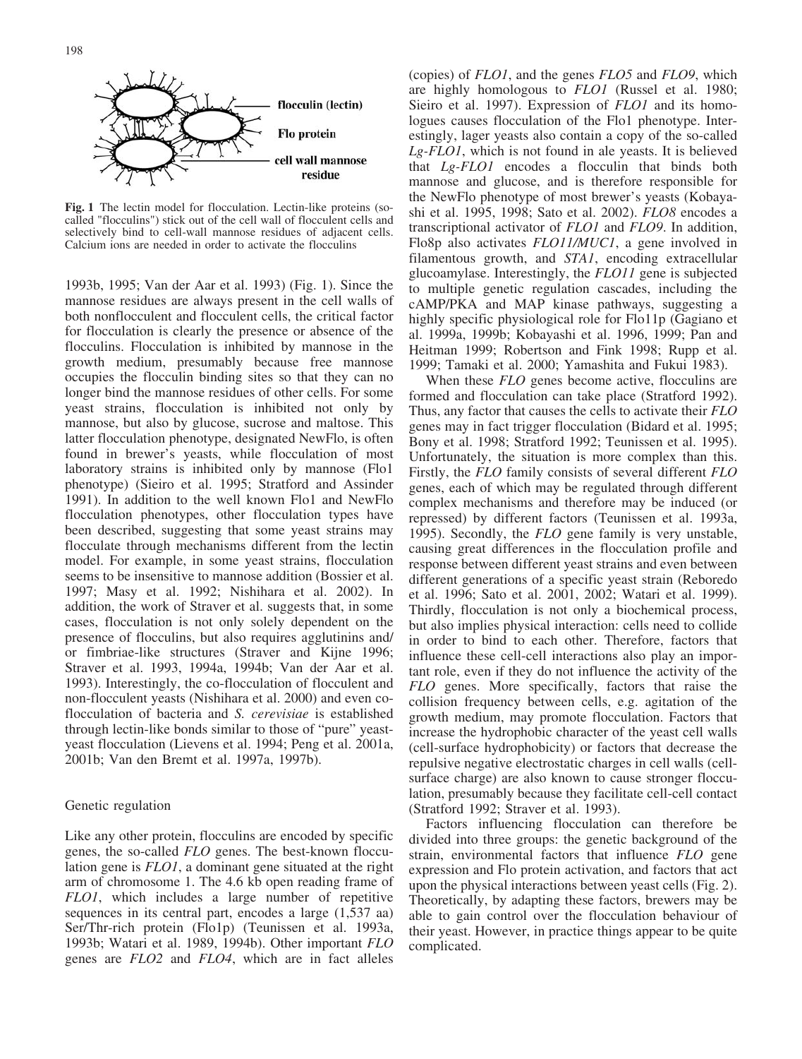198



Fig. 1 The lectin model for flocculation. Lectin-like proteins (socalled "flocculins") stick out of the cell wall of flocculent cells and selectively bind to cell-wall mannose residues of adjacent cells. Calcium ions are needed in order to activate the flocculins

1993b, 1995; Van der Aar et al. 1993) (Fig. 1). Since the mannose residues are always present in the cell walls of both nonflocculent and flocculent cells, the critical factor for flocculation is clearly the presence or absence of the flocculins. Flocculation is inhibited by mannose in the growth medium, presumably because free mannose occupies the flocculin binding sites so that they can no longer bind the mannose residues of other cells. For some yeast strains, flocculation is inhibited not only by mannose, but also by glucose, sucrose and maltose. This latter flocculation phenotype, designated NewFlo, is often found in brewer's yeasts, while flocculation of most laboratory strains is inhibited only by mannose (Flo1) phenotype) (Sieiro et al. 1995; Stratford and Assinder 1991). In addition to the well known Flo1 and NewFlo flocculation phenotypes, other flocculation types have been described, suggesting that some yeast strains may flocculate through mechanisms different from the lectin model. For example, in some yeast strains, flocculation seems to be insensitive to mannose addition (Bossier et al. 1997; Masy et al. 1992; Nishihara et al. 2002). In addition, the work of Straver et al. suggests that, in some cases, flocculation is not only solely dependent on the presence of flocculins, but also requires agglutinins and/ or fimbriae-like structures (Straver and Kijne 1996; Straver et al. 1993, 1994a, 1994b; Van der Aar et al. 1993). Interestingly, the co-flocculation of flocculent and non-flocculent yeasts (Nishihara et al. 2000) and even coflocculation of bacteria and S. cerevisiae is established through lectin-like bonds similar to those of "pure" yeastyeast flocculation (Lievens et al. 1994; Peng et al. 2001a, 2001b; Van den Bremt et al. 1997a, 1997b).

#### Genetic regulation

Like any other protein, flocculins are encoded by specific genes, the so-called FLO genes. The best-known flocculation gene is FLO1, a dominant gene situated at the right arm of chromosome 1. The 4.6 kb open reading frame of FLO1, which includes a large number of repetitive sequences in its central part, encodes a large (1,537 aa) Ser/Thr-rich protein (Flo1p) (Teunissen et al. 1993a, 1993b; Watari et al. 1989, 1994b). Other important FLO genes are FLO2 and FLO4, which are in fact alleles

(copies) of FLO1, and the genes FLO5 and FLO9, which are highly homologous to *FLO1* (Russel et al. 1980; Sieiro et al. 1997). Expression of *FLO1* and its homologues causes flocculation of the Flo1 phenotype. Interestingly, lager yeasts also contain a copy of the so-called Lg-FLO1, which is not found in ale yeasts. It is believed that Lg-FLO1 encodes a flocculin that binds both mannose and glucose, and is therefore responsible for the NewFlo phenotype of most brewer's yeasts (Kobayashi et al. 1995, 1998; Sato et al. 2002). FLO8 encodes a transcriptional activator of FLO1 and FLO9. In addition, Flo8p also activates *FLO11/MUC1*, a gene involved in filamentous growth, and STA1, encoding extracellular glucoamylase. Interestingly, the FLO11 gene is subjected to multiple genetic regulation cascades, including the cAMP/PKA and MAP kinase pathways, suggesting a highly specific physiological role for Flo11p (Gagiano et al. 1999a, 1999b; Kobayashi et al. 1996, 1999; Pan and Heitman 1999; Robertson and Fink 1998; Rupp et al. 1999; Tamaki et al. 2000; Yamashita and Fukui 1983).

When these FLO genes become active, flocculins are formed and flocculation can take place (Stratford 1992). Thus, any factor that causes the cells to activate their FLO genes may in fact trigger flocculation (Bidard et al. 1995; Bony et al. 1998; Stratford 1992; Teunissen et al. 1995). Unfortunately, the situation is more complex than this. Firstly, the FLO family consists of several different FLO genes, each of which may be regulated through different complex mechanisms and therefore may be induced (or repressed) by different factors (Teunissen et al. 1993a, 1995). Secondly, the FLO gene family is very unstable, causing great differences in the flocculation profile and response between different yeast strains and even between different generations of a specific yeast strain (Reboredo et al. 1996; Sato et al. 2001, 2002; Watari et al. 1999). Thirdly, flocculation is not only a biochemical process, but also implies physical interaction: cells need to collide in order to bind to each other. Therefore, factors that influence these cell-cell interactions also play an important role, even if they do not influence the activity of the FLO genes. More specifically, factors that raise the collision frequency between cells, e.g. agitation of the growth medium, may promote flocculation. Factors that increase the hydrophobic character of the yeast cell walls (cell-surface hydrophobicity) or factors that decrease the repulsive negative electrostatic charges in cell walls (cellsurface charge) are also known to cause stronger flocculation, presumably because they facilitate cell-cell contact (Stratford 1992; Straver et al. 1993).

Factors influencing flocculation can therefore be divided into three groups: the genetic background of the strain, environmental factors that influence FLO gene expression and Flo protein activation, and factors that act upon the physical interactions between yeast cells (Fig. 2). Theoretically, by adapting these factors, brewers may be able to gain control over the flocculation behaviour of their yeast. However, in practice things appear to be quite complicated.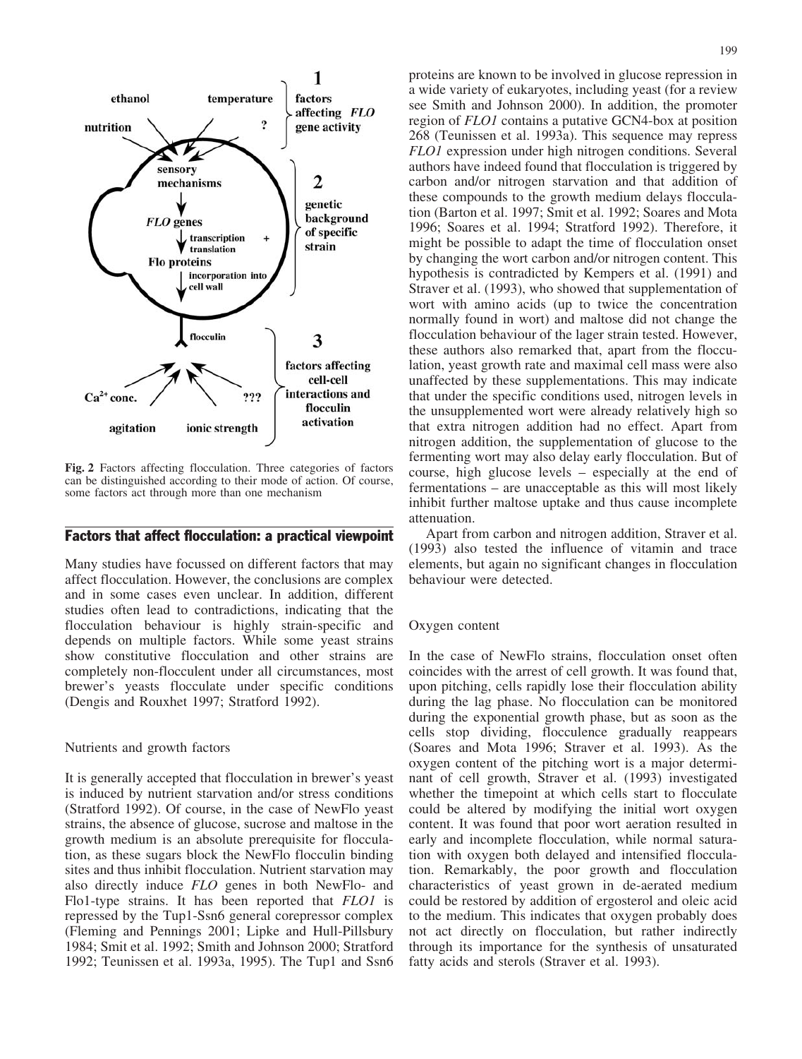

Fig. 2 Factors affecting flocculation. Three categories of factors can be distinguished according to their mode of action. Of course, some factors act through more than one mechanism

#### Factors that affect flocculation: a practical viewpoint

Many studies have focussed on different factors that may affect flocculation. However, the conclusions are complex and in some cases even unclear. In addition, different studies often lead to contradictions, indicating that the flocculation behaviour is highly strain-specific and depends on multiple factors. While some yeast strains show constitutive flocculation and other strains are completely non-flocculent under all circumstances, most brewer's yeasts flocculate under specific conditions (Dengis and Rouxhet 1997; Stratford 1992).

Nutrients and growth factors

It is generally accepted that flocculation in brewer's yeast is induced by nutrient starvation and/or stress conditions (Stratford 1992). Of course, in the case of NewFlo yeast strains, the absence of glucose, sucrose and maltose in the growth medium is an absolute prerequisite for flocculation, as these sugars block the NewFlo flocculin binding sites and thus inhibit flocculation. Nutrient starvation may also directly induce FLO genes in both NewFlo- and Flo1-type strains. It has been reported that FLO1 is repressed by the Tup1-Ssn6 general corepressor complex (Fleming and Pennings 2001; Lipke and Hull-Pillsbury 1984; Smit et al. 1992; Smith and Johnson 2000; Stratford 1992; Teunissen et al. 1993a, 1995). The Tup1 and Ssn6

proteins are known to be involved in glucose repression in a wide variety of eukaryotes, including yeast (for a review see Smith and Johnson 2000). In addition, the promoter region of FLO1 contains a putative GCN4-box at position 268 (Teunissen et al. 1993a). This sequence may repress FLO1 expression under high nitrogen conditions. Several authors have indeed found that flocculation is triggered by carbon and/or nitrogen starvation and that addition of these compounds to the growth medium delays flocculation (Barton et al. 1997; Smit et al. 1992; Soares and Mota 1996; Soares et al. 1994; Stratford 1992). Therefore, it might be possible to adapt the time of flocculation onset by changing the wort carbon and/or nitrogen content. This hypothesis is contradicted by Kempers et al. (1991) and Straver et al. (1993), who showed that supplementation of wort with amino acids (up to twice the concentration normally found in wort) and maltose did not change the flocculation behaviour of the lager strain tested. However, these authors also remarked that, apart from the flocculation, yeast growth rate and maximal cell mass were also unaffected by these supplementations. This may indicate that under the specific conditions used, nitrogen levels in the unsupplemented wort were already relatively high so that extra nitrogen addition had no effect. Apart from nitrogen addition, the supplementation of glucose to the fermenting wort may also delay early flocculation. But of course, high glucose levels – especially at the end of fermentations – are unacceptable as this will most likely inhibit further maltose uptake and thus cause incomplete attenuation.

Apart from carbon and nitrogen addition, Straver et al. (1993) also tested the influence of vitamin and trace elements, but again no significant changes in flocculation behaviour were detected.

### Oxygen content

In the case of NewFlo strains, flocculation onset often coincides with the arrest of cell growth. It was found that, upon pitching, cells rapidly lose their flocculation ability during the lag phase. No flocculation can be monitored during the exponential growth phase, but as soon as the cells stop dividing, flocculence gradually reappears (Soares and Mota 1996; Straver et al. 1993). As the oxygen content of the pitching wort is a major determinant of cell growth, Straver et al. (1993) investigated whether the timepoint at which cells start to flocculate could be altered by modifying the initial wort oxygen content. It was found that poor wort aeration resulted in early and incomplete flocculation, while normal saturation with oxygen both delayed and intensified flocculation. Remarkably, the poor growth and flocculation characteristics of yeast grown in de-aerated medium could be restored by addition of ergosterol and oleic acid to the medium. This indicates that oxygen probably does not act directly on flocculation, but rather indirectly through its importance for the synthesis of unsaturated fatty acids and sterols (Straver et al. 1993).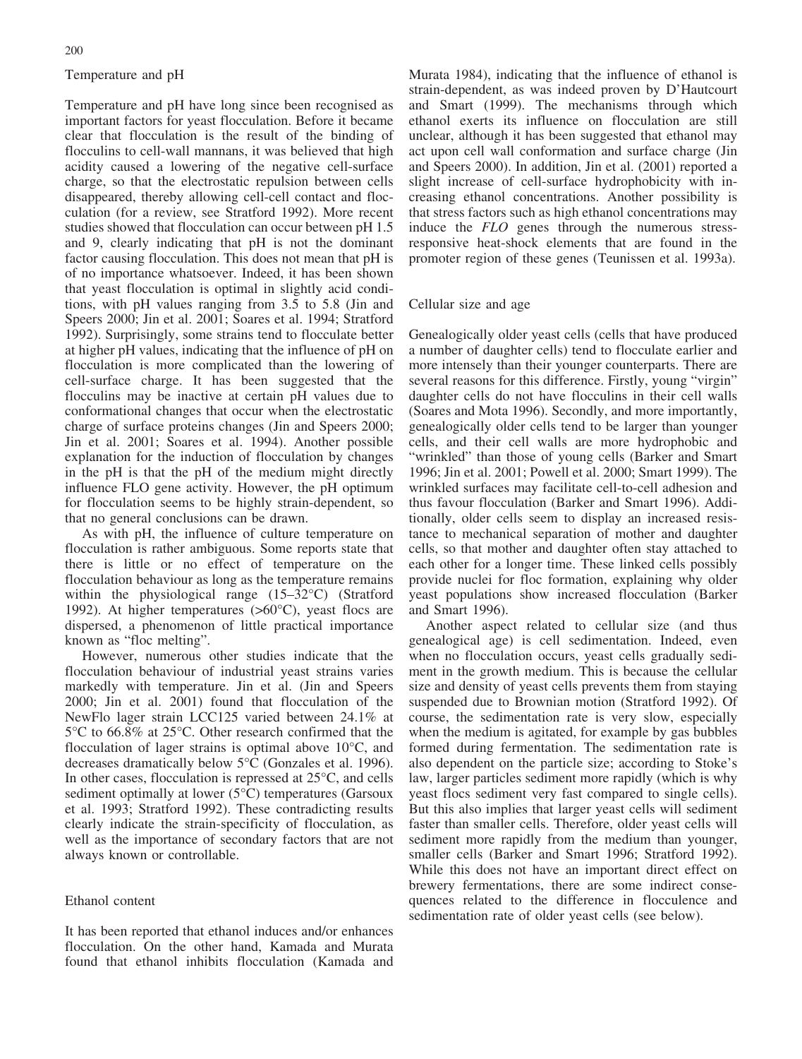# Temperature and pH

Temperature and pH have long since been recognised as important factors for yeast flocculation. Before it became clear that flocculation is the result of the binding of flocculins to cell-wall mannans, it was believed that high acidity caused a lowering of the negative cell-surface charge, so that the electrostatic repulsion between cells disappeared, thereby allowing cell-cell contact and flocculation (for a review, see Stratford 1992). More recent studies showed that flocculation can occur between pH 1.5 and 9, clearly indicating that pH is not the dominant factor causing flocculation. This does not mean that pH is of no importance whatsoever. Indeed, it has been shown that yeast flocculation is optimal in slightly acid conditions, with pH values ranging from 3.5 to 5.8 (Jin and Speers 2000; Jin et al. 2001; Soares et al. 1994; Stratford 1992). Surprisingly, some strains tend to flocculate better at higher pH values, indicating that the influence of pH on flocculation is more complicated than the lowering of cell-surface charge. It has been suggested that the flocculins may be inactive at certain pH values due to conformational changes that occur when the electrostatic charge of surface proteins changes (Jin and Speers 2000; Jin et al. 2001; Soares et al. 1994). Another possible explanation for the induction of flocculation by changes in the pH is that the pH of the medium might directly influence FLO gene activity. However, the pH optimum for flocculation seems to be highly strain-dependent, so that no general conclusions can be drawn.

As with pH, the influence of culture temperature on flocculation is rather ambiguous. Some reports state that there is little or no effect of temperature on the flocculation behaviour as long as the temperature remains within the physiological range  $(15-32^{\circ}\text{C})$  (Stratford 1992). At higher temperatures  $(>60°C)$ , yeast flocs are dispersed, a phenomenon of little practical importance known as "floc melting".

However, numerous other studies indicate that the flocculation behaviour of industrial yeast strains varies markedly with temperature. Jin et al. (Jin and Speers 2000; Jin et al. 2001) found that flocculation of the NewFlo lager strain LCC125 varied between 24.1% at 5<sup>o</sup>C to 66.8% at 25<sup>o</sup>C. Other research confirmed that the flocculation of lager strains is optimal above  $10^{\circ}$ C, and decreases dramatically below 5°C (Gonzales et al. 1996). In other cases, flocculation is repressed at  $25^{\circ}$ C, and cells sediment optimally at lower (5°C) temperatures (Garsoux et al. 1993; Stratford 1992). These contradicting results clearly indicate the strain-specificity of flocculation, as well as the importance of secondary factors that are not always known or controllable.

## Ethanol content

It has been reported that ethanol induces and/or enhances flocculation. On the other hand, Kamada and Murata found that ethanol inhibits flocculation (Kamada and

Murata 1984), indicating that the influence of ethanol is strain-dependent, as was indeed proven by D'Hautcourt and Smart (1999). The mechanisms through which ethanol exerts its influence on flocculation are still unclear, although it has been suggested that ethanol may act upon cell wall conformation and surface charge (Jin and Speers 2000). In addition, Jin et al. (2001) reported a slight increase of cell-surface hydrophobicity with increasing ethanol concentrations. Another possibility is that stress factors such as high ethanol concentrations may induce the FLO genes through the numerous stressresponsive heat-shock elements that are found in the promoter region of these genes (Teunissen et al. 1993a).

### Cellular size and age

Genealogically older yeast cells (cells that have produced a number of daughter cells) tend to flocculate earlier and more intensely than their younger counterparts. There are several reasons for this difference. Firstly, young "virgin" daughter cells do not have flocculins in their cell walls (Soares and Mota 1996). Secondly, and more importantly, genealogically older cells tend to be larger than younger cells, and their cell walls are more hydrophobic and "wrinkled" than those of young cells (Barker and Smart 1996; Jin et al. 2001; Powell et al. 2000; Smart 1999). The wrinkled surfaces may facilitate cell-to-cell adhesion and thus favour flocculation (Barker and Smart 1996). Additionally, older cells seem to display an increased resistance to mechanical separation of mother and daughter cells, so that mother and daughter often stay attached to each other for a longer time. These linked cells possibly provide nuclei for floc formation, explaining why older yeast populations show increased flocculation (Barker and Smart 1996).

Another aspect related to cellular size (and thus genealogical age) is cell sedimentation. Indeed, even when no flocculation occurs, yeast cells gradually sediment in the growth medium. This is because the cellular size and density of yeast cells prevents them from staying suspended due to Brownian motion (Stratford 1992). Of course, the sedimentation rate is very slow, especially when the medium is agitated, for example by gas bubbles formed during fermentation. The sedimentation rate is also dependent on the particle size; according to Stoke's law, larger particles sediment more rapidly (which is why yeast flocs sediment very fast compared to single cells). But this also implies that larger yeast cells will sediment faster than smaller cells. Therefore, older yeast cells will sediment more rapidly from the medium than younger, smaller cells (Barker and Smart 1996; Stratford 1992). While this does not have an important direct effect on brewery fermentations, there are some indirect consequences related to the difference in flocculence and sedimentation rate of older yeast cells (see below).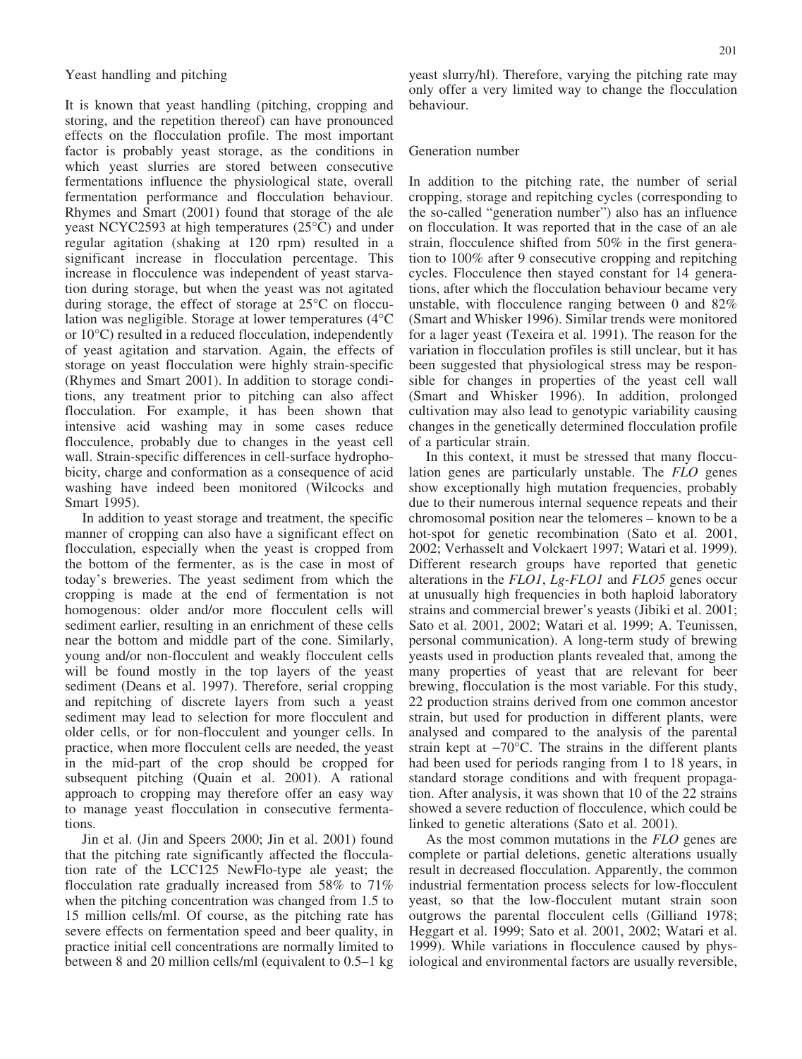It is known that yeast handling (pitching, cropping and storing, and the repetition thereof) can have pronounced effects on the flocculation profile. The most important factor is probably yeast storage, as the conditions in which yeast slurries are stored between consecutive fermentations influence the physiological state, overall fermentation performance and flocculation behaviour. Rhymes and Smart (2001) found that storage of the ale yeast NCYC2593 at high temperatures (25°C) and under regular agitation (shaking at 120 rpm) resulted in a significant increase in flocculation percentage. This increase in flocculence was independent of yeast starvation during storage, but when the yeast was not agitated during storage, the effect of storage at  $25^{\circ}$ C on flocculation was negligible. Storage at lower temperatures (4°C or 10°C) resulted in a reduced flocculation, independently of yeast agitation and starvation. Again, the effects of storage on yeast flocculation were highly strain-specific (Rhymes and Smart 2001). In addition to storage conditions, any treatment prior to pitching can also affect flocculation. For example, it has been shown that intensive acid washing may in some cases reduce flocculence, probably due to changes in the yeast cell wall. Strain-specific differences in cell-surface hydrophobicity, charge and conformation as a consequence of acid washing have indeed been monitored (Wilcocks and Smart 1995).

In addition to yeast storage and treatment, the specific manner of cropping can also have a significant effect on flocculation, especially when the yeast is cropped from the bottom of the fermenter, as is the case in most of today's breweries. The yeast sediment from which the cropping is made at the end of fermentation is not homogenous: older and/or more flocculent cells will sediment earlier, resulting in an enrichment of these cells near the bottom and middle part of the cone. Similarly, young and/or non-flocculent and weakly flocculent cells will be found mostly in the top layers of the yeast sediment (Deans et al. 1997). Therefore, serial cropping and repitching of discrete layers from such a yeast sediment may lead to selection for more flocculent and older cells, or for non-flocculent and younger cells. In practice, when more flocculent cells are needed, the yeast in the mid-part of the crop should be cropped for subsequent pitching (Quain et al. 2001). A rational approach to cropping may therefore offer an easy way to manage yeast flocculation in consecutive fermentations.

Jin et al. (Jin and Speers 2000; Jin et al. 2001) found that the pitching rate significantly affected the flocculation rate of the LCC125 NewFlo-type ale yeast; the flocculation rate gradually increased from 58% to 71% when the pitching concentration was changed from 1.5 to 15 million cells/ml. Of course, as the pitching rate has severe effects on fermentation speed and beer quality, in practice initial cell concentrations are normally limited to between 8 and 20 million cells/ml (equivalent to 0.5–1 kg

yeast slurry/hl). Therefore, varying the pitching rate may only offer a very limited way to change the flocculation behaviour.

#### Generation number

In addition to the pitching rate, the number of serial cropping, storage and repitching cycles (corresponding to the so-called "generation number") also has an influence on flocculation. It was reported that in the case of an ale strain, flocculence shifted from 50% in the first generation to 100% after 9 consecutive cropping and repitching cycles. Flocculence then stayed constant for 14 generations, after which the flocculation behaviour became very unstable, with flocculence ranging between 0 and 82% (Smart and Whisker 1996). Similar trends were monitored for a lager yeast (Texeira et al. 1991). The reason for the variation in flocculation profiles is still unclear, but it has been suggested that physiological stress may be responsible for changes in properties of the yeast cell wall (Smart and Whisker 1996). In addition, prolonged cultivation may also lead to genotypic variability causing changes in the genetically determined flocculation profile of a particular strain.

In this context, it must be stressed that many flocculation genes are particularly unstable. The FLO genes show exceptionally high mutation frequencies, probably due to their numerous internal sequence repeats and their chromosomal position near the telomeres – known to be a hot-spot for genetic recombination (Sato et al. 2001, 2002; Verhasselt and Volckaert 1997; Watari et al. 1999). Different research groups have reported that genetic alterations in the FLO1, Lg-FLO1 and FLO5 genes occur at unusually high frequencies in both haploid laboratory strains and commercial brewer's yeasts (Jibiki et al. 2001; Sato et al. 2001, 2002; Watari et al. 1999; A. Teunissen, personal communication). A long-term study of brewing yeasts used in production plants revealed that, among the many properties of yeast that are relevant for beer brewing, flocculation is the most variable. For this study, 22 production strains derived from one common ancestor strain, but used for production in different plants, were analysed and compared to the analysis of the parental strain kept at  $-70^{\circ}$ C. The strains in the different plants had been used for periods ranging from 1 to 18 years, in standard storage conditions and with frequent propagation. After analysis, it was shown that 10 of the 22 strains showed a severe reduction of flocculence, which could be linked to genetic alterations (Sato et al. 2001).

As the most common mutations in the FLO genes are complete or partial deletions, genetic alterations usually result in decreased flocculation. Apparently, the common industrial fermentation process selects for low-flocculent yeast, so that the low-flocculent mutant strain soon outgrows the parental flocculent cells (Gilliand 1978; Heggart et al. 1999; Sato et al. 2001, 2002; Watari et al. 1999). While variations in flocculence caused by physiological and environmental factors are usually reversible,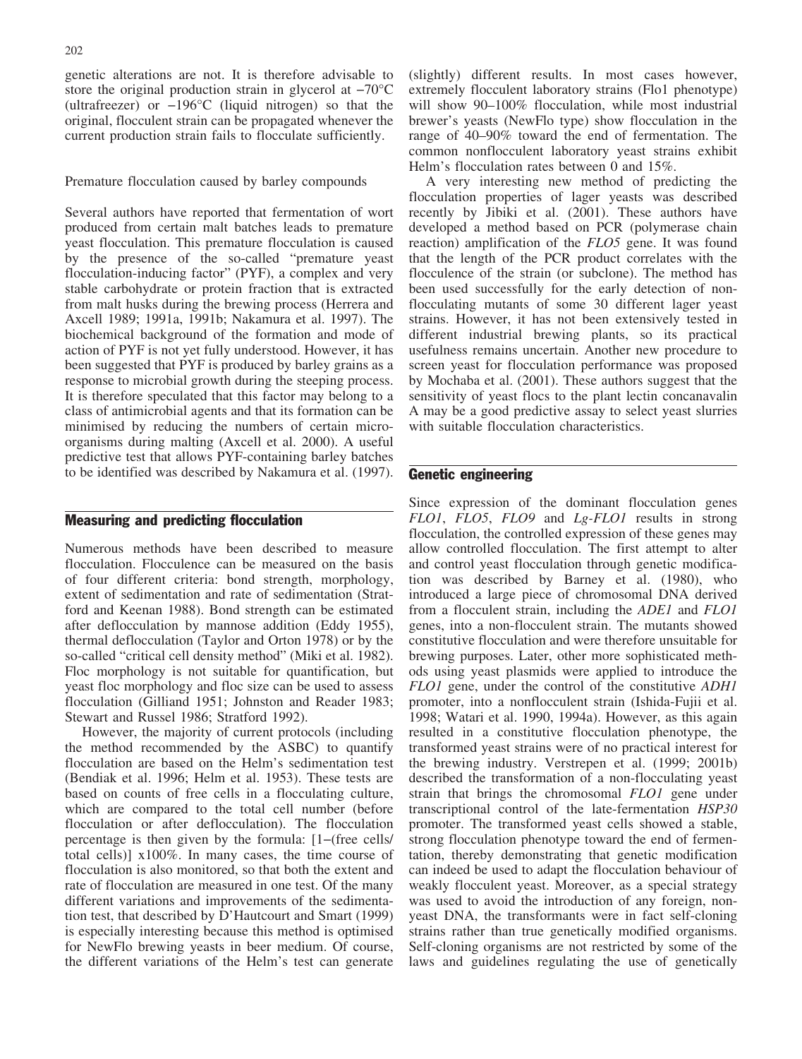genetic alterations are not. It is therefore advisable to store the original production strain in glycerol at  $-70^{\circ}$ C (ultrafreezer) or  $-196^{\circ}$ C (liquid nitrogen) so that the original, flocculent strain can be propagated whenever the current production strain fails to flocculate sufficiently.

### Premature flocculation caused by barley compounds

Several authors have reported that fermentation of wort produced from certain malt batches leads to premature yeast flocculation. This premature flocculation is caused by the presence of the so-called "premature yeast flocculation-inducing factor" (PYF), a complex and very stable carbohydrate or protein fraction that is extracted from malt husks during the brewing process (Herrera and Axcell 1989; 1991a, 1991b; Nakamura et al. 1997). The biochemical background of the formation and mode of action of PYF is not yet fully understood. However, it has been suggested that PYF is produced by barley grains as a response to microbial growth during the steeping process. It is therefore speculated that this factor may belong to a class of antimicrobial agents and that its formation can be minimised by reducing the numbers of certain microorganisms during malting (Axcell et al. 2000). A useful predictive test that allows PYF-containing barley batches to be identified was described by Nakamura et al. (1997).

## Measuring and predicting flocculation

Numerous methods have been described to measure flocculation. Flocculence can be measured on the basis of four different criteria: bond strength, morphology, extent of sedimentation and rate of sedimentation (Stratford and Keenan 1988). Bond strength can be estimated after deflocculation by mannose addition (Eddy 1955), thermal deflocculation (Taylor and Orton 1978) or by the so-called "critical cell density method" (Miki et al. 1982). Floc morphology is not suitable for quantification, but yeast floc morphology and floc size can be used to assess flocculation (Gilliand 1951; Johnston and Reader 1983; Stewart and Russel 1986; Stratford 1992).

However, the majority of current protocols (including the method recommended by the ASBC) to quantify flocculation are based on the Helm's sedimentation test (Bendiak et al. 1996; Helm et al. 1953). These tests are based on counts of free cells in a flocculating culture, which are compared to the total cell number (before flocculation or after deflocculation). The flocculation percentage is then given by the formula:  $[1-(\text{free cells})]$ total cells)] x100%. In many cases, the time course of flocculation is also monitored, so that both the extent and rate of flocculation are measured in one test. Of the many different variations and improvements of the sedimentation test, that described by D'Hautcourt and Smart (1999) is especially interesting because this method is optimised for NewFlo brewing yeasts in beer medium. Of course, the different variations of the Helm's test can generate

(slightly) different results. In most cases however, extremely flocculent laboratory strains (Flo1 phenotype) will show 90–100% flocculation, while most industrial brewer's yeasts (NewFlo type) show flocculation in the range of 40–90% toward the end of fermentation. The common nonflocculent laboratory yeast strains exhibit Helm's flocculation rates between 0 and 15%.

A very interesting new method of predicting the flocculation properties of lager yeasts was described recently by Jibiki et al. (2001). These authors have developed a method based on PCR (polymerase chain reaction) amplification of the FLO5 gene. It was found that the length of the PCR product correlates with the flocculence of the strain (or subclone). The method has been used successfully for the early detection of nonflocculating mutants of some 30 different lager yeast strains. However, it has not been extensively tested in different industrial brewing plants, so its practical usefulness remains uncertain. Another new procedure to screen yeast for flocculation performance was proposed by Mochaba et al. (2001). These authors suggest that the sensitivity of yeast flocs to the plant lectin concanavalin A may be a good predictive assay to select yeast slurries with suitable flocculation characteristics.

# Genetic engineering

Since expression of the dominant flocculation genes FLO1, FLO5, FLO9 and Lg-FLO1 results in strong flocculation, the controlled expression of these genes may allow controlled flocculation. The first attempt to alter and control yeast flocculation through genetic modification was described by Barney et al. (1980), who introduced a large piece of chromosomal DNA derived from a flocculent strain, including the ADE1 and FLO1 genes, into a non-flocculent strain. The mutants showed constitutive flocculation and were therefore unsuitable for brewing purposes. Later, other more sophisticated methods using yeast plasmids were applied to introduce the FLO1 gene, under the control of the constitutive ADH1 promoter, into a nonflocculent strain (Ishida-Fujii et al. 1998; Watari et al. 1990, 1994a). However, as this again resulted in a constitutive flocculation phenotype, the transformed yeast strains were of no practical interest for the brewing industry. Verstrepen et al. (1999; 2001b) described the transformation of a non-flocculating yeast strain that brings the chromosomal FLO1 gene under transcriptional control of the late-fermentation HSP30 promoter. The transformed yeast cells showed a stable, strong flocculation phenotype toward the end of fermentation, thereby demonstrating that genetic modification can indeed be used to adapt the flocculation behaviour of weakly flocculent yeast. Moreover, as a special strategy was used to avoid the introduction of any foreign, nonyeast DNA, the transformants were in fact self-cloning strains rather than true genetically modified organisms. Self-cloning organisms are not restricted by some of the laws and guidelines regulating the use of genetically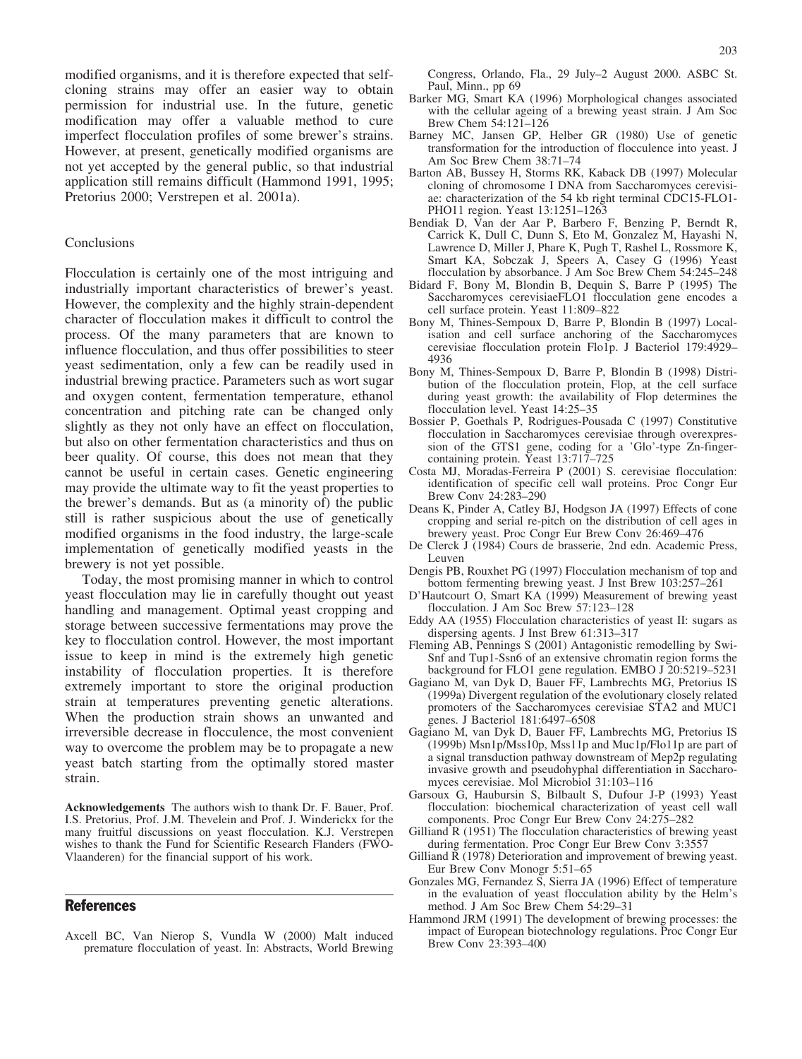modified organisms, and it is therefore expected that selfcloning strains may offer an easier way to obtain permission for industrial use. In the future, genetic modification may offer a valuable method to cure imperfect flocculation profiles of some brewer's strains. However, at present, genetically modified organisms are not yet accepted by the general public, so that industrial application still remains difficult (Hammond 1991, 1995; Pretorius 2000; Verstrepen et al. 2001a).

### Conclusions

Flocculation is certainly one of the most intriguing and industrially important characteristics of brewer's yeast. However, the complexity and the highly strain-dependent character of flocculation makes it difficult to control the process. Of the many parameters that are known to influence flocculation, and thus offer possibilities to steer yeast sedimentation, only a few can be readily used in industrial brewing practice. Parameters such as wort sugar and oxygen content, fermentation temperature, ethanol concentration and pitching rate can be changed only slightly as they not only have an effect on flocculation, but also on other fermentation characteristics and thus on beer quality. Of course, this does not mean that they cannot be useful in certain cases. Genetic engineering may provide the ultimate way to fit the yeast properties to the brewer's demands. But as (a minority of) the public still is rather suspicious about the use of genetically modified organisms in the food industry, the large-scale implementation of genetically modified yeasts in the brewery is not yet possible.

Today, the most promising manner in which to control yeast flocculation may lie in carefully thought out yeast handling and management. Optimal yeast cropping and storage between successive fermentations may prove the key to flocculation control. However, the most important issue to keep in mind is the extremely high genetic instability of flocculation properties. It is therefore extremely important to store the original production strain at temperatures preventing genetic alterations. When the production strain shows an unwanted and irreversible decrease in flocculence, the most convenient way to overcome the problem may be to propagate a new yeast batch starting from the optimally stored master strain.

Acknowledgements The authors wish to thank Dr. F. Bauer, Prof. I.S. Pretorius, Prof. J.M. Thevelein and Prof. J. Winderickx for the many fruitful discussions on yeast flocculation. K.J. Verstrepen wishes to thank the Fund for Scientific Research Flanders (FWO-Vlaanderen) for the financial support of his work.

# References

Axcell BC, Van Nierop S, Vundla W (2000) Malt induced premature flocculation of yeast. In: Abstracts, World Brewing

Congress, Orlando, Fla., 29 July–2 August 2000. ASBC St. Paul, Minn., pp 69

- Barker MG, Smart KA (1996) Morphological changes associated with the cellular ageing of a brewing yeast strain. J Am Soc Brew Chem 54:121–126
- Barney MC, Jansen GP, Helber GR (1980) Use of genetic transformation for the introduction of flocculence into yeast. J Am Soc Brew Chem 38:71–74
- Barton AB, Bussey H, Storms RK, Kaback DB (1997) Molecular cloning of chromosome I DNA from Saccharomyces cerevisiae: characterization of the 54 kb right terminal CDC15-FLO1- PHO11 region. Yeast 13:1251–1263
- Bendiak D, Van der Aar P, Barbero F, Benzing P, Berndt R, Carrick K, Dull C, Dunn S, Eto M, Gonzalez M, Hayashi N, Lawrence D, Miller J, Phare K, Pugh T, Rashel L, Rossmore K, Smart KA, Sobczak J, Speers A, Casey G (1996) Yeast flocculation by absorbance. J Am Soc Brew Chem 54:245–248
- Bidard F, Bony M, Blondin B, Dequin S, Barre P (1995) The Saccharomyces cerevisiaeFLO1 flocculation gene encodes a cell surface protein. Yeast 11:809–822
- Bony M, Thines-Sempoux D, Barre P, Blondin B (1997) Localisation and cell surface anchoring of the Saccharomyces cerevisiae flocculation protein Flo1p. J Bacteriol 179:4929– 4936
- Bony M, Thines-Sempoux D, Barre P, Blondin B (1998) Distribution of the flocculation protein, Flop, at the cell surface during yeast growth: the availability of Flop determines the flocculation level. Yeast 14:25–35
- Bossier P, Goethals P, Rodrigues-Pousada C (1997) Constitutive flocculation in Saccharomyces cerevisiae through overexpression of the GTS1 gene, coding for a 'Glo'-type Zn-fingercontaining protein. Yeast 13:717-725
- Costa MJ, Moradas-Ferreira P (2001) S. cerevisiae flocculation: identification of specific cell wall proteins. Proc Congr Eur Brew Conv 24:283–290
- Deans K, Pinder A, Catley BJ, Hodgson JA (1997) Effects of cone cropping and serial re-pitch on the distribution of cell ages in brewery yeast. Proc Congr Eur Brew Conv 26:469–476
- De Clerck J (1984) Cours de brasserie, 2nd edn. Academic Press, Leuven
- Dengis PB, Rouxhet PG (1997) Flocculation mechanism of top and bottom fermenting brewing yeast. J Inst Brew 103:257–261
- D'Hautcourt O, Smart KA (1999) Measurement of brewing yeast flocculation. J Am Soc Brew 57:123–128
- Eddy AA (1955) Flocculation characteristics of yeast II: sugars as dispersing agents. J Inst Brew 61:313–317
- Fleming AB, Pennings S (2001) Antagonistic remodelling by Swi-Snf and Tup1-Ssn6 of an extensive chromatin region forms the background for FLO1 gene regulation. EMBO J 20:5219–5231
- Gagiano M, van Dyk D, Bauer FF, Lambrechts MG, Pretorius IS (1999a) Divergent regulation of the evolutionary closely related promoters of the Saccharomyces cerevisiae STA2 and MUC1 genes. J Bacteriol 181:6497–6508
- Gagiano M, van Dyk D, Bauer FF, Lambrechts MG, Pretorius IS (1999b) Msn1p/Mss10p, Mss11p and Muc1p/Flo11p are part of a signal transduction pathway downstream of Mep2p regulating invasive growth and pseudohyphal differentiation in Saccharomyces cerevisiae. Mol Microbiol 31:103–116
- Garsoux G, Haubursin S, Bilbault S, Dufour J-P (1993) Yeast flocculation: biochemical characterization of yeast cell wall components. Proc Congr Eur Brew Conv 24:275–282
- Gilliand R (1951) The flocculation characteristics of brewing yeast during fermentation. Proc Congr Eur Brew Conv 3:3557
- Gilliand R (1978) Deterioration and improvement of brewing yeast. Eur Brew Conv Monogr 5:51–65
- Gonzales MG, Fernandez S, Sierra JA (1996) Effect of temperature in the evaluation of yeast flocculation ability by the Helm's method. J Am Soc Brew Chem 54:29–31
- Hammond JRM (1991) The development of brewing processes: the impact of European biotechnology regulations. Proc Congr Eur Brew Conv 23:393–400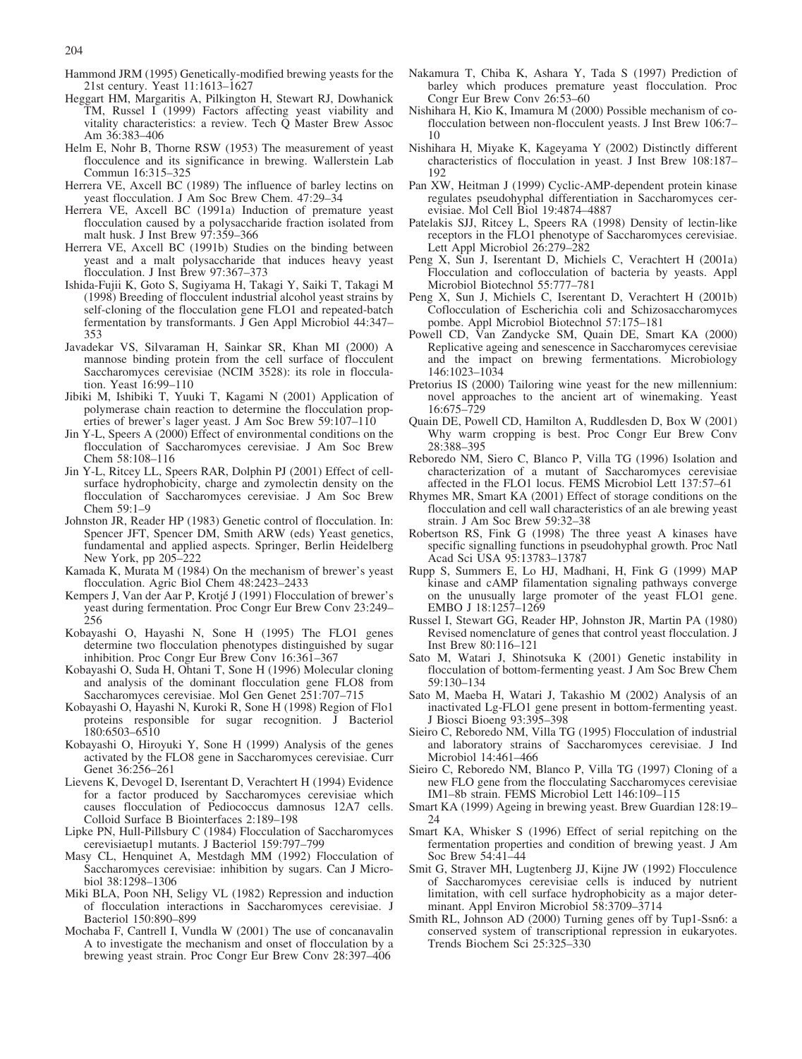- Hammond JRM (1995) Genetically-modified brewing yeasts for the 21st century. Yeast 11:1613–1627
- Heggart HM, Margaritis A, Pilkington H, Stewart RJ, Dowhanick TM, Russel I (1999) Factors affecting yeast viability and vitality characteristics: a review. Tech Q Master Brew Assoc Am 36:383–406
- Helm E, Nohr B, Thorne RSW (1953) The measurement of yeast flocculence and its significance in brewing. Wallerstein Lab Commun 16:315–325
- Herrera VE, Axcell BC (1989) The influence of barley lectins on yeast flocculation. J Am Soc Brew Chem. 47:29–34
- Herrera VE, Axcell BC (1991a) Induction of premature yeast flocculation caused by a polysaccharide fraction isolated from malt husk. J Inst Brew 97:359-366
- Herrera VE, Axcell BC (1991b) Studies on the binding between yeast and a malt polysaccharide that induces heavy yeast flocculation. J Inst Brew 97:367–373
- Ishida-Fujii K, Goto S, Sugiyama H, Takagi Y, Saiki T, Takagi M (1998) Breeding of flocculent industrial alcohol yeast strains by self-cloning of the flocculation gene FLO1 and repeated-batch fermentation by transformants. J Gen Appl Microbiol 44:347– 353
- Javadekar VS, Silvaraman H, Sainkar SR, Khan MI (2000) A mannose binding protein from the cell surface of flocculent Saccharomyces cerevisiae (NCIM 3528): its role in flocculation. Yeast 16:99–110
- Jibiki M, Ishibiki T, Yuuki T, Kagami N (2001) Application of polymerase chain reaction to determine the flocculation properties of brewer's lager yeast. J Am Soc Brew 59:107–110
- Jin Y-L, Speers A (2000) Effect of environmental conditions on the flocculation of Saccharomyces cerevisiae. J Am Soc Brew Chem 58:108–116
- Jin Y-L, Ritcey LL, Speers RAR, Dolphin PJ (2001) Effect of cellsurface hydrophobicity, charge and zymolectin density on the flocculation of Saccharomyces cerevisiae. J Am Soc Brew Chem 59:1–9
- Johnston JR, Reader HP (1983) Genetic control of flocculation. In: Spencer JFT, Spencer DM, Smith ARW (eds) Yeast genetics, fundamental and applied aspects. Springer, Berlin Heidelberg New York, pp 205–222
- Kamada K, Murata M (1984) On the mechanism of brewer's yeast flocculation. Agric Biol Chem 48:2423–2433
- Kempers J, Van der Aar P, Krotjé J (1991) Flocculation of brewer's yeast during fermentation. Proc Congr Eur Brew Conv 23:249– 256
- Kobayashi O, Hayashi N, Sone H (1995) The FLO1 genes determine two flocculation phenotypes distinguished by sugar inhibition. Proc Congr Eur Brew Conv 16:361–367
- Kobayashi O, Suda H, Ohtani T, Sone H (1996) Molecular cloning and analysis of the dominant flocculation gene FLO8 from Saccharomyces cerevisiae. Mol Gen Genet 251:707–715
- Kobayashi O, Hayashi N, Kuroki R, Sone H (1998) Region of Flo1 proteins responsible for sugar recognition. J Bacteriol 180:6503–6510
- Kobayashi O, Hiroyuki Y, Sone H (1999) Analysis of the genes activated by the FLO8 gene in Saccharomyces cerevisiae. Curr Genet 36:256–261
- Lievens K, Devogel D, Iserentant D, Verachtert H (1994) Evidence for a factor produced by Saccharomyces cerevisiae which causes flocculation of Pediococcus damnosus 12A7 cells. Colloid Surface B Biointerfaces 2:189–198
- Lipke PN, Hull-Pillsbury C (1984) Flocculation of Saccharomyces cerevisiaetup1 mutants. J Bacteriol 159:797–799
- Masy CL, Henquinet A, Mestdagh MM (1992) Flocculation of Saccharomyces cerevisiae: inhibition by sugars. Can J Microbiol 38:1298–1306
- Miki BLA, Poon NH, Seligy VL (1982) Repression and induction of flocculation interactions in Saccharomyces cerevisiae. J Bacteriol 150:890–899
- Mochaba F, Cantrell I, Vundla W (2001) The use of concanavalin A to investigate the mechanism and onset of flocculation by a brewing yeast strain. Proc Congr Eur Brew Conv 28:397–406
- Nakamura T, Chiba K, Ashara Y, Tada S (1997) Prediction of barley which produces premature yeast flocculation. Proc Congr Eur Brew Conv 26:53–60
- Nishihara H, Kio K, Imamura M (2000) Possible mechanism of coflocculation between non-flocculent yeasts. J Inst Brew 106:7– 10
- Nishihara H, Miyake K, Kageyama Y (2002) Distinctly different characteristics of flocculation in yeast. J Inst Brew 108:187– 192
- Pan XW, Heitman J (1999) Cyclic-AMP-dependent protein kinase regulates pseudohyphal differentiation in Saccharomyces cerevisiae. Mol Cell Biol 19:4874–4887
- Patelakis SJJ, Ritcey L, Speers RA (1998) Density of lectin-like receptors in the FLO1 phenotype of Saccharomyces cerevisiae. Lett Appl Microbiol 26:279–282
- Peng X, Sun J, Iserentant D, Michiels C, Verachtert H (2001a) Flocculation and coflocculation of bacteria by yeasts. Appl Microbiol Biotechnol 55:777–781
- Peng X, Sun J, Michiels C, Iserentant D, Verachtert H (2001b) Coflocculation of Escherichia coli and Schizosaccharomyces pombe. Appl Microbiol Biotechnol 57:175–181
- Powell CD, Van Zandycke SM, Quain DE, Smart KA (2000) Replicative ageing and senescence in Saccharomyces cerevisiae and the impact on brewing fermentations. Microbiology 146:1023–1034
- Pretorius IS (2000) Tailoring wine yeast for the new millennium: novel approaches to the ancient art of winemaking. Yeast 16:675–729
- Quain DE, Powell CD, Hamilton A, Ruddlesden D, Box W (2001) Why warm cropping is best. Proc Congr Eur Brew Conv 28:388–395
- Reboredo NM, Siero C, Blanco P, Villa TG (1996) Isolation and characterization of a mutant of Saccharomyces cerevisiae affected in the FLO1 locus. FEMS Microbiol Lett 137:57–61
- Rhymes MR, Smart KA (2001) Effect of storage conditions on the flocculation and cell wall characteristics of an ale brewing yeast strain. J Am Soc Brew 59:32–38
- Robertson RS, Fink G (1998) The three yeast A kinases have specific signalling functions in pseudohyphal growth. Proc Natl Acad Sci USA 95:13783–13787
- Rupp S, Summers E, Lo HJ, Madhani, H, Fink G (1999) MAP kinase and cAMP filamentation signaling pathways converge on the unusually large promoter of the yeast FLO1 gene. EMBO J 18:1257–1269
- Russel I, Stewart GG, Reader HP, Johnston JR, Martin PA (1980) Revised nomenclature of genes that control yeast flocculation. J Inst Brew 80:116–121
- Sato M, Watari J, Shinotsuka K (2001) Genetic instability in flocculation of bottom-fermenting yeast. J Am Soc Brew Chem 59:130–134
- Sato M, Maeba H, Watari J, Takashio M (2002) Analysis of an inactivated Lg-FLO1 gene present in bottom-fermenting yeast. J Biosci Bioeng 93:395–398
- Sieiro C, Reboredo NM, Villa TG (1995) Flocculation of industrial and laboratory strains of Saccharomyces cerevisiae. J Ind Microbiol 14:461–466
- Sieiro C, Reboredo NM, Blanco P, Villa TG (1997) Cloning of a new FLO gene from the flocculating Saccharomyces cerevisiae IM1–8b strain. FEMS Microbiol Lett 146:109–115
- Smart KA (1999) Ageing in brewing yeast. Brew Guardian 128:19– 24
- Smart KA, Whisker S (1996) Effect of serial repitching on the fermentation properties and condition of brewing yeast. J Am Soc Brew 54:41–44
- Smit G, Straver MH, Lugtenberg JJ, Kijne JW (1992) Flocculence of Saccharomyces cerevisiae cells is induced by nutrient limitation, with cell surface hydrophobicity as a major determinant. Appl Environ Microbiol 58:3709–3714
- Smith RL, Johnson AD (2000) Turning genes off by Tup1-Ssn6: a conserved system of transcriptional repression in eukaryotes. Trends Biochem Sci 25:325–330